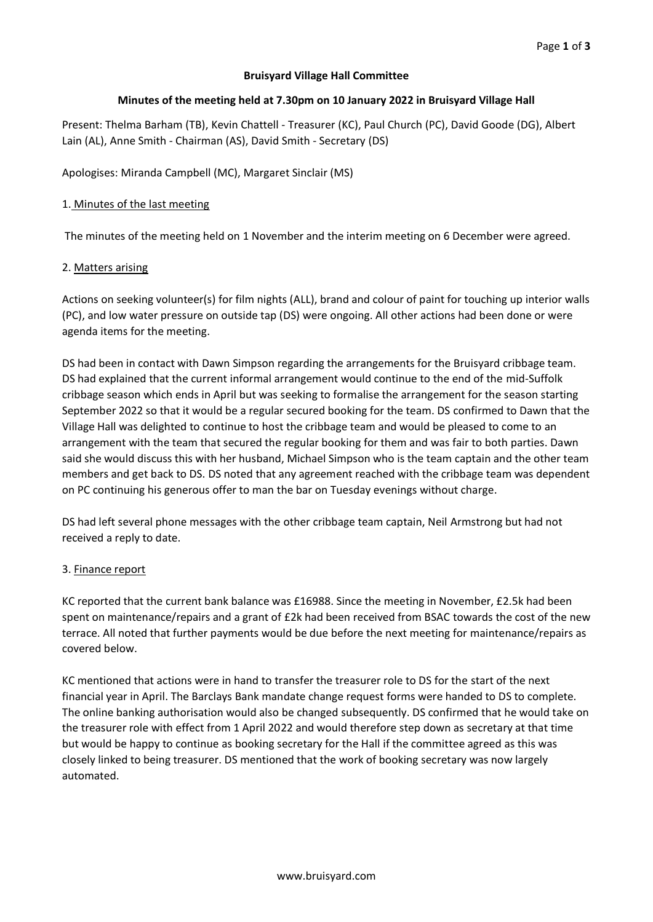## **Bruisyard Village Hall Committee**

### **Minutes of the meeting held at 7.30pm on 10 January 2022 in Bruisyard Village Hall**

Present: Thelma Barham (TB), Kevin Chattell - Treasurer (KC), Paul Church (PC), David Goode (DG), Albert Lain (AL), Anne Smith - Chairman (AS), David Smith - Secretary (DS)

Apologises: Miranda Campbell (MC), Margaret Sinclair (MS)

### 1. Minutes of the last meeting

The minutes of the meeting held on 1 November and the interim meeting on 6 December were agreed.

#### 2. Matters arising

Actions on seeking volunteer(s) for film nights (ALL), brand and colour of paint for touching up interior walls (PC), and low water pressure on outside tap (DS) were ongoing. All other actions had been done or were agenda items for the meeting.

DS had been in contact with Dawn Simpson regarding the arrangements for the Bruisyard cribbage team. DS had explained that the current informal arrangement would continue to the end of the mid-Suffolk cribbage season which ends in April but was seeking to formalise the arrangement for the season starting September 2022 so that it would be a regular secured booking for the team. DS confirmed to Dawn that the Village Hall was delighted to continue to host the cribbage team and would be pleased to come to an arrangement with the team that secured the regular booking for them and was fair to both parties. Dawn said she would discuss this with her husband, Michael Simpson who is the team captain and the other team members and get back to DS. DS noted that any agreement reached with the cribbage team was dependent on PC continuing his generous offer to man the bar on Tuesday evenings without charge.

DS had left several phone messages with the other cribbage team captain, Neil Armstrong but had not received a reply to date.

#### 3. Finance report

KC reported that the current bank balance was £16988. Since the meeting in November, £2.5k had been spent on maintenance/repairs and a grant of £2k had been received from BSAC towards the cost of the new terrace. All noted that further payments would be due before the next meeting for maintenance/repairs as covered below.

KC mentioned that actions were in hand to transfer the treasurer role to DS for the start of the next financial year in April. The Barclays Bank mandate change request forms were handed to DS to complete. The online banking authorisation would also be changed subsequently. DS confirmed that he would take on the treasurer role with effect from 1 April 2022 and would therefore step down as secretary at that time but would be happy to continue as booking secretary for the Hall if the committee agreed as this was closely linked to being treasurer. DS mentioned that the work of booking secretary was now largely automated.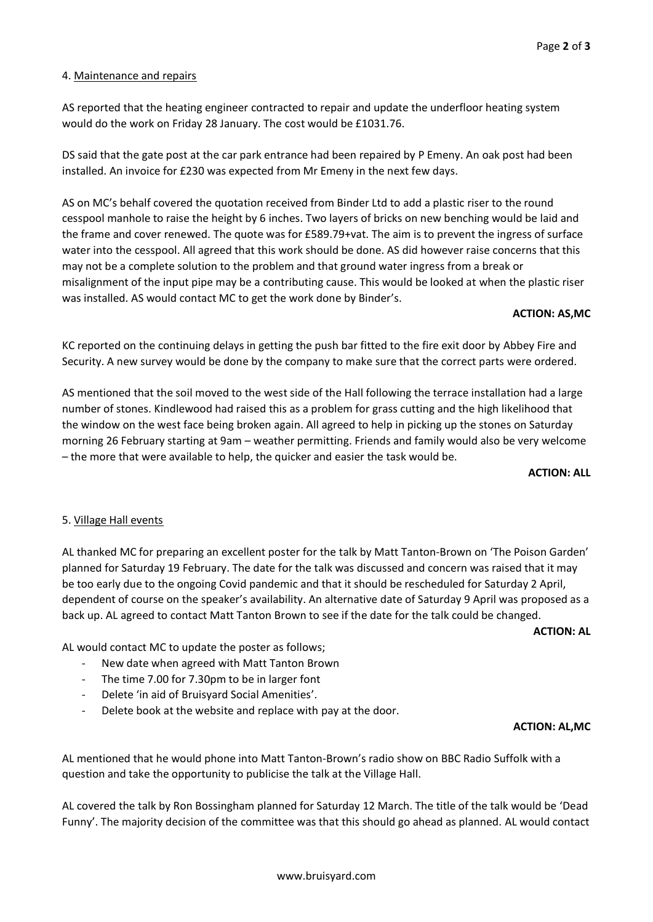### 4. Maintenance and repairs

AS reported that the heating engineer contracted to repair and update the underfloor heating system would do the work on Friday 28 January. The cost would be £1031.76.

DS said that the gate post at the car park entrance had been repaired by P Emeny. An oak post had been installed. An invoice for £230 was expected from Mr Emeny in the next few days.

AS on MC's behalf covered the quotation received from Binder Ltd to add a plastic riser to the round cesspool manhole to raise the height by 6 inches. Two layers of bricks on new benching would be laid and the frame and cover renewed. The quote was for £589.79+vat. The aim is to prevent the ingress of surface water into the cesspool. All agreed that this work should be done. AS did however raise concerns that this may not be a complete solution to the problem and that ground water ingress from a break or misalignment of the input pipe may be a contributing cause. This would be looked at when the plastic riser was installed. AS would contact MC to get the work done by Binder's.

#### **ACTION: AS,MC**

KC reported on the continuing delays in getting the push bar fitted to the fire exit door by Abbey Fire and Security. A new survey would be done by the company to make sure that the correct parts were ordered.

AS mentioned that the soil moved to the west side of the Hall following the terrace installation had a large number of stones. Kindlewood had raised this as a problem for grass cutting and the high likelihood that the window on the west face being broken again. All agreed to help in picking up the stones on Saturday morning 26 February starting at 9am – weather permitting. Friends and family would also be very welcome – the more that were available to help, the quicker and easier the task would be.

**ACTION: ALL**

#### 5. Village Hall events

AL thanked MC for preparing an excellent poster for the talk by Matt Tanton-Brown on 'The Poison Garden' planned for Saturday 19 February. The date for the talk was discussed and concern was raised that it may be too early due to the ongoing Covid pandemic and that it should be rescheduled for Saturday 2 April, dependent of course on the speaker's availability. An alternative date of Saturday 9 April was proposed as a back up. AL agreed to contact Matt Tanton Brown to see if the date for the talk could be changed.

**ACTION: AL**

AL would contact MC to update the poster as follows;

- New date when agreed with Matt Tanton Brown
- The time 7.00 for 7.30pm to be in larger font
- Delete 'in aid of Bruisyard Social Amenities'.
- Delete book at the website and replace with pay at the door.

#### **ACTION: AL,MC**

AL mentioned that he would phone into Matt Tanton-Brown's radio show on BBC Radio Suffolk with a question and take the opportunity to publicise the talk at the Village Hall.

AL covered the talk by Ron Bossingham planned for Saturday 12 March. The title of the talk would be 'Dead Funny'. The majority decision of the committee was that this should go ahead as planned. AL would contact